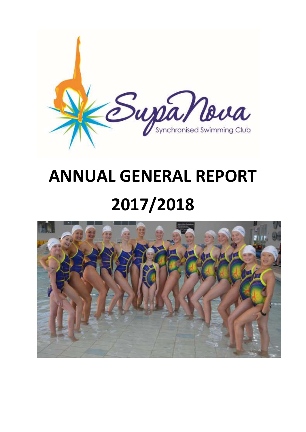

# **ANNUAL GENERAL REPORT 2017/2018**

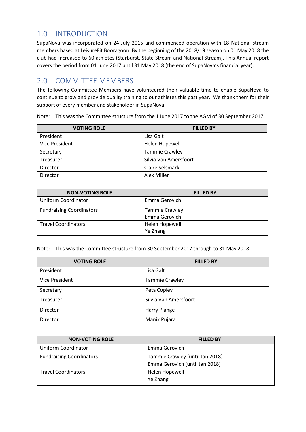## 1.0 INTRODUCTION

SupaNova was incorporated on 24 July 2015 and commenced operation with 18 National stream members based at LeisureFit Booragoon. By the beginning of the 2018/19 season on 01 May 2018 the club had increased to 60 athletes (Starburst, State Stream and National Stream). This Annual report covers the period from 01 June 2017 until 31 May 2018 (the end of SupaNova's financial year).

### 2.0 COMMITTEE MEMBERS

The following Committee Members have volunteered their valuable time to enable SupaNova to continue to grow and provide quality training to our athletes this past year. We thank them for their support of every member and stakeholder in SupaNova.

Note: This was the Committee structure from the 1 June 2017 to the AGM of 30 September 2017.

| <b>VOTING ROLE</b> | <b>FILLED BY</b>      |
|--------------------|-----------------------|
| President          | Lisa Galt             |
| Vice President     | Helen Hopewell        |
| Secretary          | <b>Tammie Crawley</b> |
| Treasurer          | Silvia Van Amersfoort |
| Director           | Claire Selsmark       |
| Director           | Alex Miller           |

| <b>NON-VOTING ROLE</b>          | <b>FILLED BY</b>                |
|---------------------------------|---------------------------------|
| Uniform Coordinator             | Emma Gerovich                   |
| <b>Fundraising Coordinators</b> | Tammie Crawley<br>Emma Gerovich |
| <b>Travel Coordinators</b>      | Helen Hopewell<br>Ye Zhang      |

Note: This was the Committee structure from 30 September 2017 through to 31 May 2018.

| <b>VOTING ROLE</b> | <b>FILLED BY</b>      |
|--------------------|-----------------------|
| President          | Lisa Galt             |
| Vice President     | <b>Tammie Crawley</b> |
| Secretary          | Peta Copley           |
| Treasurer          | Silvia Van Amersfoort |
| Director           | Harry Plange          |
| Director           | Manik Pujara          |

| <b>NON-VOTING ROLE</b>          | <b>FILLED BY</b>                |
|---------------------------------|---------------------------------|
| <b>Uniform Coordinator</b>      | Emma Gerovich                   |
| <b>Fundraising Coordinators</b> | Tammie Crawley (until Jan 2018) |
|                                 | Emma Gerovich (until Jan 2018)  |
| <b>Travel Coordinators</b>      | Helen Hopewell                  |
|                                 | Ye Zhang                        |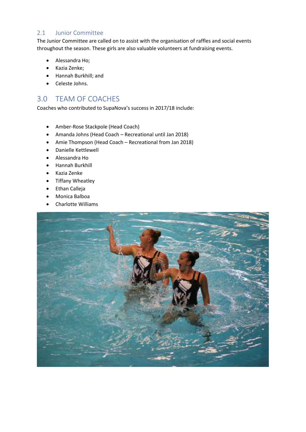#### 2.1 Junior Committee

The Junior Committee are called on to assist with the organisation of raffles and social events throughout the season. These girls are also valuable volunteers at fundraising events.

- Alessandra Ho;
- Kazia Zenke;
- Hannah Burkhill; and
- Celeste Johns.

## 3.0 TEAM OF COACHES

Coaches who contributed to SupaNova's success in 2017/18 include:

- Amber-Rose Stackpole (Head Coach)
- Amanda Johns (Head Coach Recreational until Jan 2018)
- Amie Thompson (Head Coach Recreational from Jan 2018)
- Danielle Kettlewell
- Alessandra Ho
- Hannah Burkhill
- Kazia Zenke
- Tiffany Wheatley
- Ethan Calleja
- Monica Balboa
- Charlotte Williams

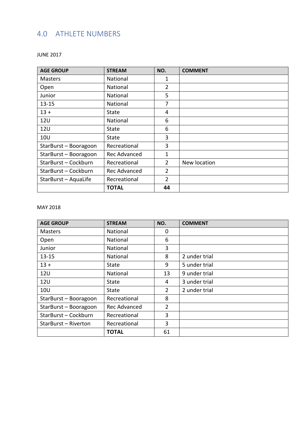# 4.0 ATHLETE NUMBERS

| <b>AGE GROUP</b>      | <b>STREAM</b>       | NO.            | <b>COMMENT</b> |
|-----------------------|---------------------|----------------|----------------|
| <b>Masters</b>        | National            | 1              |                |
| Open                  | National            | $\overline{2}$ |                |
| Junior                | National            | 5              |                |
| $13 - 15$             | National            | 7              |                |
| $13 +$                | <b>State</b>        | 4              |                |
| 12 <sub>U</sub>       | National            | 6              |                |
| <b>12U</b>            | <b>State</b>        | 6              |                |
| 10U                   | <b>State</b>        | 3              |                |
| StarBurst - Booragoon | Recreational        | 3              |                |
| StarBurst - Booragoon | <b>Rec Advanced</b> | 1              |                |
| StarBurst-Cockburn    | Recreational        | $\overline{2}$ | New location   |
| StarBurst-Cockburn    | Rec Advanced        | $\overline{2}$ |                |
| StarBurst - AquaLife  | Recreational        | 2              |                |
|                       | <b>TOTAL</b>        | 44             |                |

JUNE 2017

#### MAY 2018

| <b>AGE GROUP</b>      | <b>STREAM</b> | NO. | <b>COMMENT</b> |
|-----------------------|---------------|-----|----------------|
| <b>Masters</b>        | National      | 0   |                |
| Open                  | National      | 6   |                |
| Junior                | National      | 3   |                |
| $13 - 15$             | National      | 8   | 2 under trial  |
| $13 +$                | State         | 9   | 5 under trial  |
| 12U                   | National      | 13  | 9 under trial  |
| 12U                   | State         | 4   | 3 under trial  |
| <b>10U</b>            | State         | 2   | 2 under trial  |
| StarBurst - Booragoon | Recreational  | 8   |                |
| StarBurst - Booragoon | Rec Advanced  | 2   |                |
| StarBurst-Cockburn    | Recreational  | 3   |                |
| StarBurst - Riverton  | Recreational  | 3   |                |
|                       | <b>TOTAL</b>  | 61  |                |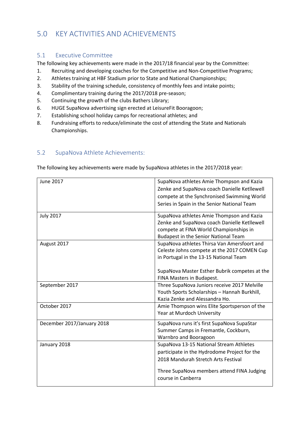## 5.0 KEY ACTIVITIES AND ACHIEVEMENTS

#### 5.1 Executive Committee

The following key achievements were made in the 2017/18 financial year by the Committee:

- 1. Recruiting and developing coaches for the Competitive and Non-Competitive Programs;
- 2. Athletes training at HBF Stadium prior to State and National Championships;
- 3. Stability of the training schedule, consistency of monthly fees and intake points;
- 4. Complimentary training during the 2017/2018 pre-season;
- 5. Continuing the growth of the clubs Bathers Library;
- 6. HUGE SupaNova advertising sign erected at LeisureFit Booragoon;
- 7. Establishing school holiday camps for recreational athletes; and
- 8. Fundraising efforts to reduce/eliminate the cost of attending the State and Nationals Championships.

#### 5.2 SupaNova Athlete Achievements:

The following key achievements were made by SupaNova athletes in the 2017/2018 year:

| June 2017                  | SupaNova athletes Amie Thompson and Kazia     |
|----------------------------|-----------------------------------------------|
|                            | Zenke and SupaNova coach Danielle Ketllewell  |
|                            | compete at the Synchronised Swimming World    |
|                            | Series in Spain in the Senior National Team   |
| <b>July 2017</b>           | SupaNova athletes Amie Thompson and Kazia     |
|                            | Zenke and SupaNova coach Danielle Ketllewell  |
|                            | compete at FINA World Championships in        |
|                            | <b>Budapest in the Senior National Team</b>   |
| August 2017                | SupaNova athletes Thirsa Van Amersfoort and   |
|                            | Celeste Johns compete at the 2017 COMEN Cup   |
|                            | in Portugal in the 13-15 National Team        |
|                            |                                               |
|                            | SupaNova Master Esther Bubrik competes at the |
|                            | FINA Masters in Budapest.                     |
| September 2017             | Three SupaNova Juniors receive 2017 Melville  |
|                            | Youth Sports Scholarships - Hannah Burkhill,  |
|                            | Kazia Zenke and Alessandra Ho.                |
| October 2017               | Amie Thompson wins Elite Sportsperson of the  |
|                            | Year at Murdoch University                    |
| December 2017/January 2018 | SupaNova runs it's first SupaNova SupaStar    |
|                            | Summer Camps in Fremantle, Cockburn,          |
|                            | Warnbro and Booragoon                         |
| January 2018               | SupaNova 13-15 National Stream Athletes       |
|                            | participate in the Hydrodome Project for the  |
|                            | 2018 Mandurah Stretch Arts Festival           |
|                            | Three SupaNova members attend FINA Judging    |
|                            | course in Canberra                            |
|                            |                                               |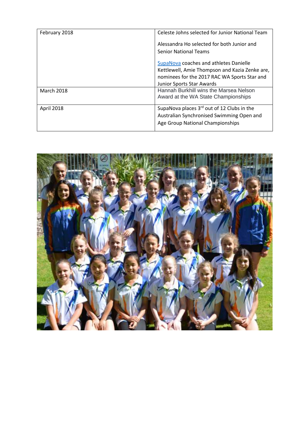| February 2018     | Celeste Johns selected for Junior National Team                               |
|-------------------|-------------------------------------------------------------------------------|
|                   | Alessandra Ho selected for both Junior and                                    |
|                   | <b>Senior National Teams</b>                                                  |
|                   | SupaNova coaches and athletes Danielle                                        |
|                   | Kettlewell, Amie Thompson and Kazia Zenke are,                                |
|                   | nominees for the 2017 RAC WA Sports Star and                                  |
|                   | Junior Sports Star Awards                                                     |
| <b>March 2018</b> | Hannah Burkhill wins the Marsea Nelson<br>Award at the WA State Championships |
| April 2018        | SupaNova places $3rd$ out of 12 Clubs in the                                  |
|                   | Australian Synchronised Swimming Open and                                     |
|                   | Age Group National Championships                                              |
|                   |                                                                               |

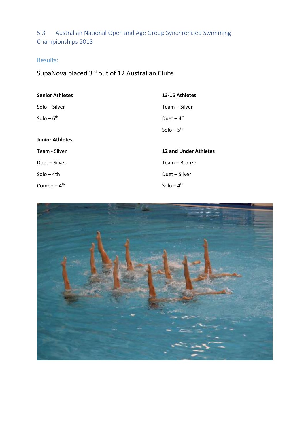5.3 Australian National Open and Age Group Synchronised Swimming Championships 2018

# Results:

SupaNova placed 3<sup>rd</sup> out of 12 Australian Clubs

| <b>Senior Athletes</b> | 13-15 Athletes               |
|------------------------|------------------------------|
| Solo - Silver          | Team – Silver                |
| Solo $-6th$            | Duet $-4$ <sup>th</sup>      |
|                        | $Solo - 5th$                 |
| <b>Junior Athletes</b> |                              |
| Team - Silver          | <b>12 and Under Athletes</b> |
| Duet - Silver          | Team – Bronze                |
| Solo – 4th             | Duet - Silver                |
| Combo $-4th$           | $Solo - 4th$                 |